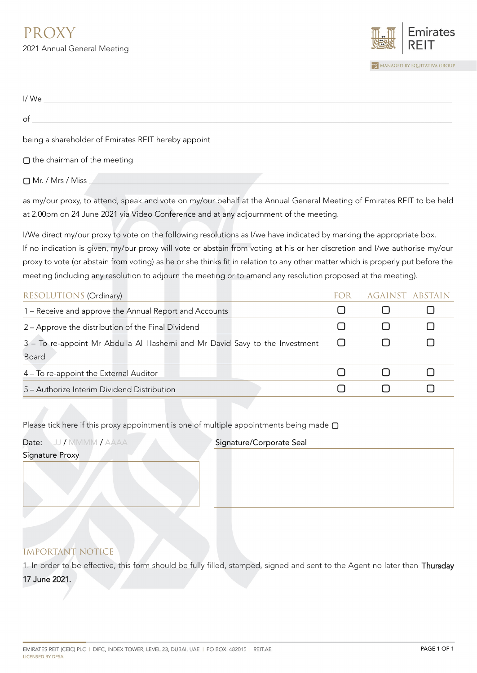

| I/We                                                |  |
|-----------------------------------------------------|--|
| of                                                  |  |
| being a shareholder of Emirates REIT hereby appoint |  |
| $\Box$ the chairman of the meeting                  |  |
| □ Mr. / Mrs / Miss                                  |  |

as my/our proxy, to attend, speak and vote on my/our behalf at the Annual General Meeting of Emirates REIT to be held at 2.00pm on 24 June 2021 via Video Conference and at any adjournment of the meeting.

I/We direct my/our proxy to vote on the following resolutions as I/we have indicated by marking the appropriate box. If no indication is given, my/our proxy will vote or abstain from voting at his or her discretion and I/we authorise my/our proxy to vote (or abstain from voting) as he or she thinks fit in relation to any other matter which is properly put before the meeting (including any resolution to adjourn the meeting or to amend any resolution proposed at the meeting).

| RESOLUTIONS (Ordinary)                                                      | AGAINST ABSTAIN |  |
|-----------------------------------------------------------------------------|-----------------|--|
| 1 – Receive and approve the Annual Report and Accounts                      |                 |  |
| 2 – Approve the distribution of the Final Dividend                          |                 |  |
| 3 - To re-appoint Mr Abdulla Al Hashemi and Mr David Savy to the Investment |                 |  |
| <b>Board</b>                                                                |                 |  |
| 4 – To re-appoint the External Auditor                                      |                 |  |
| 5 – Authorize Interim Dividend Distribution                                 |                 |  |
|                                                                             |                 |  |

Please tick here if this proxy appointment is one of multiple appointments being made **▢**

| Date: JJ / MMMM / AAAA | Signature/Corporate Seal |
|------------------------|--------------------------|
| <b>Signature Proxy</b> |                          |
|                        |                          |
|                        |                          |
|                        |                          |
|                        |                          |
|                        |                          |

## IMPORTANT NOTICE

1. In order to be effective, this form should be fully filled, stamped, signed and sent to the Agent no later than Thursday 17 June 2021.